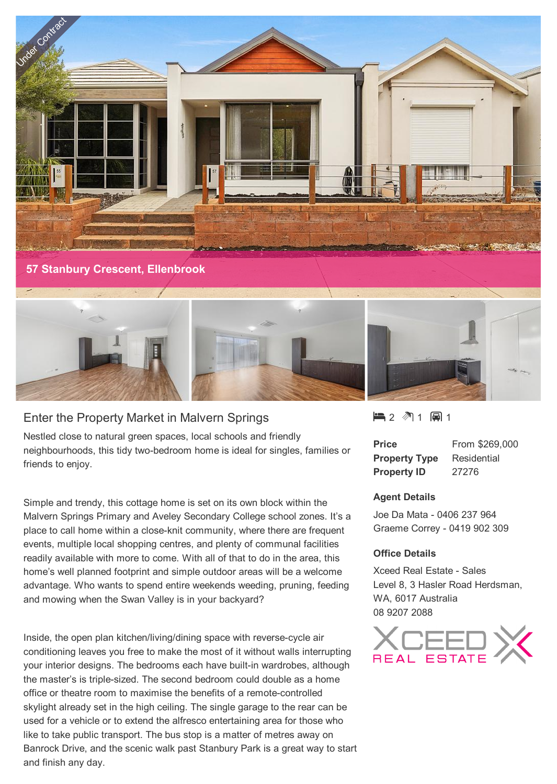

neighbourhoods, this tidy two-bedroom home is ideal for singles, families or friends to enjoy.

Nestled close to natural green spaces, local schools and friendly

Enter the Property Market in Malvern Springs

Simple and trendy, this cottage home is set on its own block within the Malvern Springs Primary and Aveley Secondary College school zones. It's a place to call home within a close-knit community, where there are frequent events, multiple local shopping centres, and plenty of communal facilities readily available with more to come. With all of that to do in the area, this home's well planned footprint and simple outdoor areas will be a welcome advantage. Who wants to spend entire weekends weeding, pruning, feeding and mowing when the Swan Valley is in your backyard?

Inside, the open plan kitchen/living/dining space with reverse-cycle air conditioning leaves you free to make the most of it without walls interrupting your interior designs. The bedrooms each have built-in wardrobes, although the master's is triple-sized. The second bedroom could double as a home office or theatre room to maximise the benefits of a remote-controlled skylight already set in the high ceiling. The single garage to the rear can be used for a vehicle or to extend the alfresco entertaining area for those who like to take public transport. The bus stop is a matter of metres away on Banrock Drive, and the scenic walk past Stanbury Park is a great way to start and finish any day.

 $\blacksquare$  2  $\blacksquare$  1  $\blacksquare$  1

| <b>Price</b>         | From \$269,000 |
|----------------------|----------------|
| <b>Property Type</b> | Residential    |
| <b>Property ID</b>   | 27276          |

## **Agent Details**

Joe Da Mata - 0406 237 964 Graeme Correy - 0419 902 309

## **Office Details**

Xceed Real Estate - Sales Level 8, 3 Hasler Road Herdsman, WA, 6017 Australia 08 9207 2088